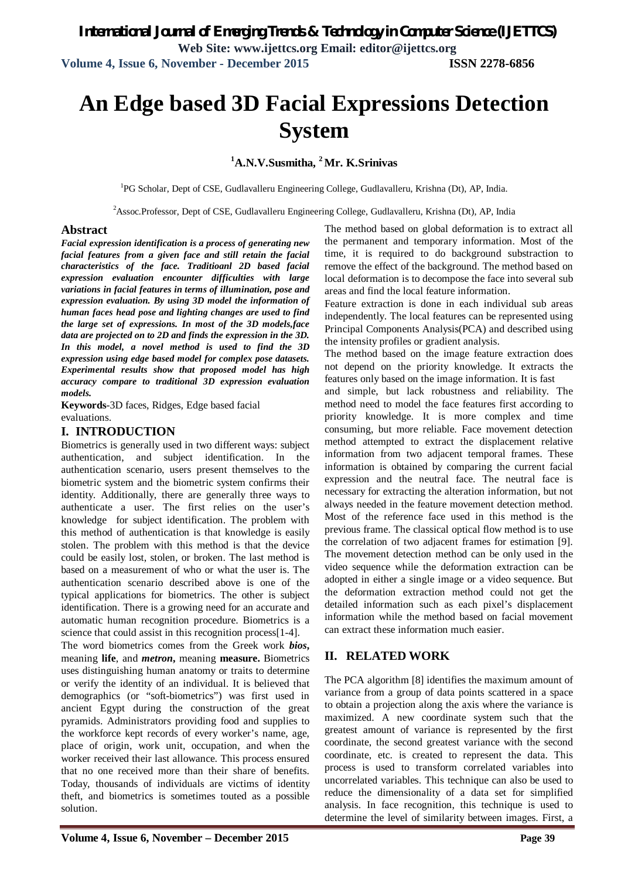# **An Edge based 3D Facial Expressions Detection System**

# **<sup>1</sup>A.N.V.Susmitha, <sup>2</sup>Mr. K.Srinivas**

<sup>1</sup>PG Scholar, Dept of CSE, Gudlavalleru Engineering College, Gudlavalleru, Krishna (Dt), AP, India.

<sup>2</sup>Assoc.Professor, Dept of CSE, Gudlavalleru Engineering College, Gudlavalleru, Krishna (Dt), AP, India

#### **Abstract**

*Facial expression identification is a process of generating new facial features from a given face and still retain the facial characteristics of the face. Traditioanl 2D based facial expression evaluation encounter difficulties with large variations in facial features in terms of illumination, pose and expression evaluation. By using 3D model the information of human faces head pose and lighting changes are used to find the large set of expressions. In most of the 3D models,face data are projected on to 2D and finds the expression in the 3D. In this model, a novel method is used to find the 3D expression using edge based model for complex pose datasets. Experimental results show that proposed model has high accuracy compare to traditional 3D expression evaluation models.* 

**Keywords**-3D faces, Ridges, Edge based facial evaluations.

#### **I. INTRODUCTION**

Biometrics is generally used in two different ways: subject authentication, and subject identification. In the authentication scenario, users present themselves to the biometric system and the biometric system confirms their identity. Additionally, there are generally three ways to authenticate a user. The first relies on the user's knowledge for subject identification. The problem with this method of authentication is that knowledge is easily stolen. The problem with this method is that the device could be easily lost, stolen, or broken. The last method is based on a measurement of who or what the user is. The authentication scenario described above is one of the typical applications for biometrics. The other is subject identification. There is a growing need for an accurate and automatic human recognition procedure. Biometrics is a science that could assist in this recognition process[1-4].

The word biometrics comes from the Greek work *bios***,** meaning **life**, and *metron***,** meaning **measure.** Biometrics uses distinguishing human anatomy or traits to determine or verify the identity of an individual. It is believed that demographics (or "soft-biometrics") was first used in ancient Egypt during the construction of the great pyramids. Administrators providing food and supplies to the workforce kept records of every worker's name, age, place of origin, work unit, occupation, and when the worker received their last allowance. This process ensured that no one received more than their share of benefits. Today, thousands of individuals are victims of identity theft, and biometrics is sometimes touted as a possible solution.

The method based on global deformation is to extract all the permanent and temporary information. Most of the time, it is required to do background substraction to remove the effect of the background. The method based on local deformation is to decompose the face into several sub areas and find the local feature information.

Feature extraction is done in each individual sub areas independently. The local features can be represented using Principal Components Analysis(PCA) and described using the intensity profiles or gradient analysis.

The method based on the image feature extraction does not depend on the priority knowledge. It extracts the features only based on the image information. It is fast

and simple, but lack robustness and reliability. The method need to model the face features first according to priority knowledge. It is more complex and time consuming, but more reliable. Face movement detection method attempted to extract the displacement relative information from two adjacent temporal frames. These information is obtained by comparing the current facial expression and the neutral face. The neutral face is necessary for extracting the alteration information, but not always needed in the feature movement detection method. Most of the reference face used in this method is the previous frame. The classical optical flow method is to use the correlation of two adjacent frames for estimation [9]. The movement detection method can be only used in the video sequence while the deformation extraction can be adopted in either a single image or a video sequence. But the deformation extraction method could not get the detailed information such as each pixel's displacement information while the method based on facial movement can extract these information much easier.

# **II. RELATED WORK**

The PCA algorithm [8] identifies the maximum amount of variance from a group of data points scattered in a space to obtain a projection along the axis where the variance is maximized. A new coordinate system such that the greatest amount of variance is represented by the first coordinate, the second greatest variance with the second coordinate, etc. is created to represent the data. This process is used to transform correlated variables into uncorrelated variables. This technique can also be used to reduce the dimensionality of a data set for simplified analysis. In face recognition, this technique is used to determine the level of similarity between images. First, a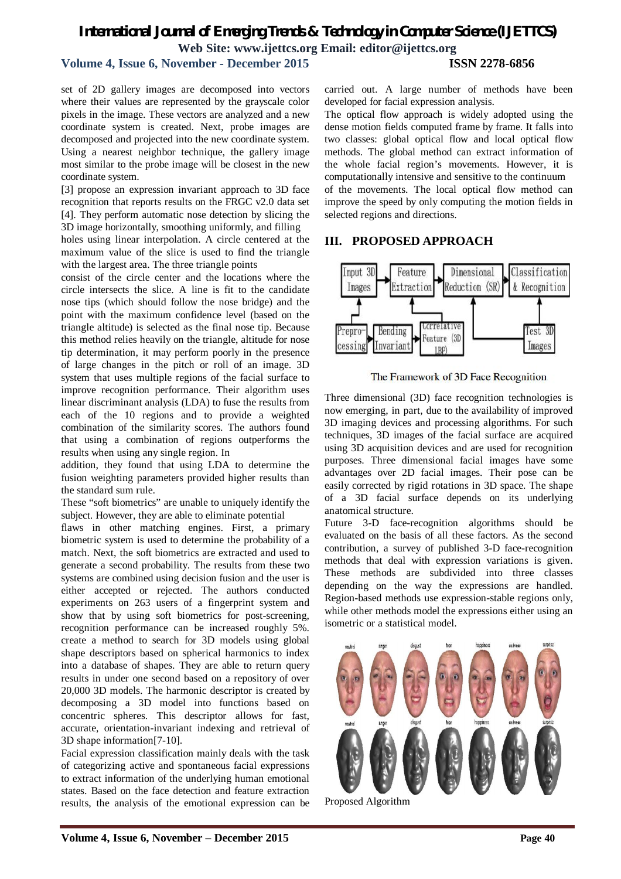# *International Journal of Emerging Trends & Technology in Computer Science (IJETTCS)* **Web Site: www.ijettcs.org Email: editor@ijettcs.org Volume 4, Issue 6, November - December 2015 ISSN 2278-6856**

set of 2D gallery images are decomposed into vectors where their values are represented by the grayscale color

pixels in the image. These vectors are analyzed and a new coordinate system is created. Next, probe images are decomposed and projected into the new coordinate system. Using a nearest neighbor technique, the gallery image most similar to the probe image will be closest in the new coordinate system.

[3] propose an expression invariant approach to 3D face recognition that reports results on the FRGC v2.0 data set [4]. They perform automatic nose detection by slicing the 3D image horizontally, smoothing uniformly, and filling

holes using linear interpolation. A circle centered at the maximum value of the slice is used to find the triangle with the largest area. The three triangle points

consist of the circle center and the locations where the circle intersects the slice. A line is fit to the candidate nose tips (which should follow the nose bridge) and the point with the maximum confidence level (based on the triangle altitude) is selected as the final nose tip. Because this method relies heavily on the triangle, altitude for nose tip determination, it may perform poorly in the presence of large changes in the pitch or roll of an image. 3D system that uses multiple regions of the facial surface to improve recognition performance. Their algorithm uses linear discriminant analysis (LDA) to fuse the results from each of the 10 regions and to provide a weighted combination of the similarity scores. The authors found that using a combination of regions outperforms the results when using any single region. In

addition, they found that using LDA to determine the fusion weighting parameters provided higher results than the standard sum rule.

These "soft biometrics" are unable to uniquely identify the subject. However, they are able to eliminate potential

flaws in other matching engines. First, a primary biometric system is used to determine the probability of a match. Next, the soft biometrics are extracted and used to generate a second probability. The results from these two systems are combined using decision fusion and the user is either accepted or rejected. The authors conducted experiments on 263 users of a fingerprint system and show that by using soft biometrics for post-screening, recognition performance can be increased roughly 5%. create a method to search for 3D models using global shape descriptors based on spherical harmonics to index into a database of shapes. They are able to return query results in under one second based on a repository of over 20,000 3D models. The harmonic descriptor is created by decomposing a 3D model into functions based on concentric spheres. This descriptor allows for fast, accurate, orientation-invariant indexing and retrieval of 3D shape information[7-10].

Facial expression classification mainly deals with the task of categorizing active and spontaneous facial expressions to extract information of the underlying human emotional states. Based on the face detection and feature extraction results, the analysis of the emotional expression can be

carried out. A large number of methods have been developed for facial expression analysis. The optical flow approach is widely adopted using the

dense motion fields computed frame by frame. It falls into two classes: global optical flow and local optical flow methods. The global method can extract information of the whole facial region's movements. However, it is computationally intensive and sensitive to the continuum of the movements. The local optical flow method can improve the speed by only computing the motion fields in selected regions and directions.

### **III. PROPOSED APPROACH**



The Framework of 3D Face Recognition

Three dimensional (3D) face recognition technologies is now emerging, in part, due to the availability of improved 3D imaging devices and processing algorithms. For such techniques, 3D images of the facial surface are acquired using 3D acquisition devices and are used for recognition purposes. Three dimensional facial images have some advantages over 2D facial images. Their pose can be easily corrected by rigid rotations in 3D space. The shape of a 3D facial surface depends on its underlying anatomical structure.

Future 3-D face-recognition algorithms should be evaluated on the basis of all these factors. As the second contribution, a survey of published 3-D face-recognition methods that deal with expression variations is given. These methods are subdivided into three classes depending on the way the expressions are handled. Region-based methods use expression-stable regions only, while other methods model the expressions either using an isometric or a statistical model.



Proposed Algorithm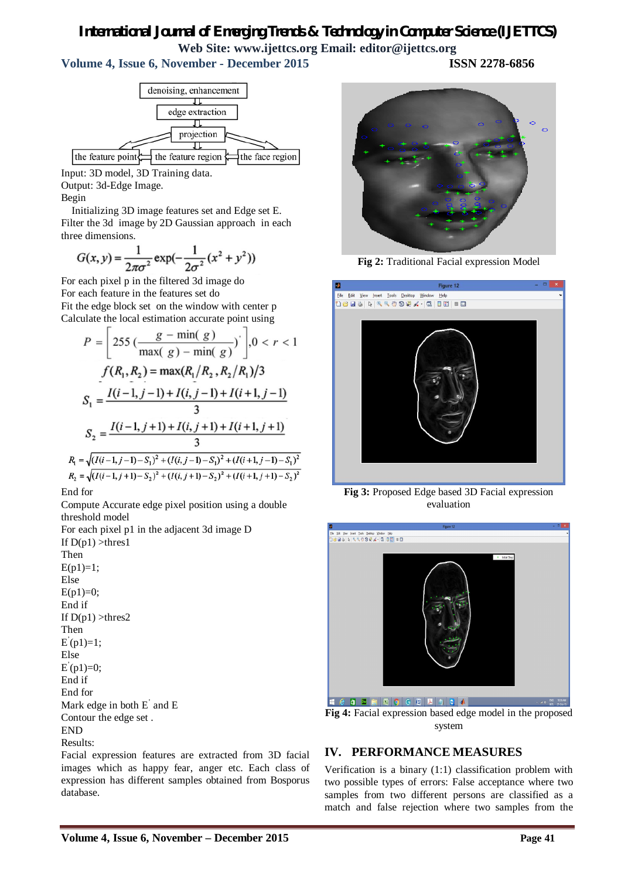# *International Journal of Emerging Trends & Technology in Computer Science (IJETTCS)* **Web Site: www.ijettcs.org Email: editor@ijettcs.org**

**Volume 4, Issue 6, November - December 2015 ISSN 2278-6856**

denoising, enhancement ᆩ edge extraction ╖ projection π the feature point  $\exists$  the feature region  $\sharp$ the face region

Input: 3D model, 3D Training data.

Output: 3d-Edge Image.

Begin

Initializing 3D image features set and Edge set E. Filter the 3d image by 2D Gaussian approach in each three dimensions.

$$
G(x, y) = \frac{1}{2\pi\sigma^2} \exp(-\frac{1}{2\sigma^2}(x^2 + y^2))
$$

For each pixel p in the filtered 3d image do For each feature in the features set do Fit the edge block set on the window with center p Calculate the local estimation accurate point using

$$
P = \left[ 255 \left( \frac{g - \min(g)}{\max(g) - \min(g)} \right) \right], 0 < r < 1
$$
  
\n
$$
f(R_1, R_2) = \max(R_1/R_2, R_2/R_1)/3
$$
  
\n
$$
S_1 = \frac{I(i-1, j-1) + I(i, j-1) + I(i+1, j-1)}{3}
$$
  
\n
$$
S_2 = \frac{I(i-1, j+1) + I(i, j+1) + I(i+1, j+1)}{3}
$$
  
\n
$$
R_1 = \sqrt{(I(i-1, j-1) - S_1)^2 + (I(i, j-1) - S_1)^2 + (I(i+1, j-1) - S_1)^2}
$$
  
\n
$$
R_2 = \sqrt{(I(i-1, j+1) - S_2)^2 + (I(i, j+1) - S_2)^2 + (I(i+1, j+1) - S_2)^2}
$$

End for

Compute Accurate edge pixel position using a double threshold model

For each pixel p1 in the adjacent 3d image D If  $D(p1) >$ thres1 Then  $E(p1)=1$ ; Else  $E(p1)=0$ ; End if If  $D(p1) >$ thres2 Then  $E(p1)=1;$ Else  $E(p1)=0;$ End if End for Mark edge in both E' and E Contour the edge set . END Results:

Facial expression features are extracted from 3D facial images which as happy fear, anger etc. Each class of expression has different samples obtained from Bosporus database.

**Fig 2:** Traditional Facial expression Model



**Fig 3:** Proposed Edge based 3D Facial expression evaluation



**Fig 4:** Facial expression based edge model in the proposed system

# **IV. PERFORMANCE MEASURES**

Verification is a binary (1:1) classification problem with two possible types of errors: False acceptance where two samples from two different persons are classified as a match and false rejection where two samples from the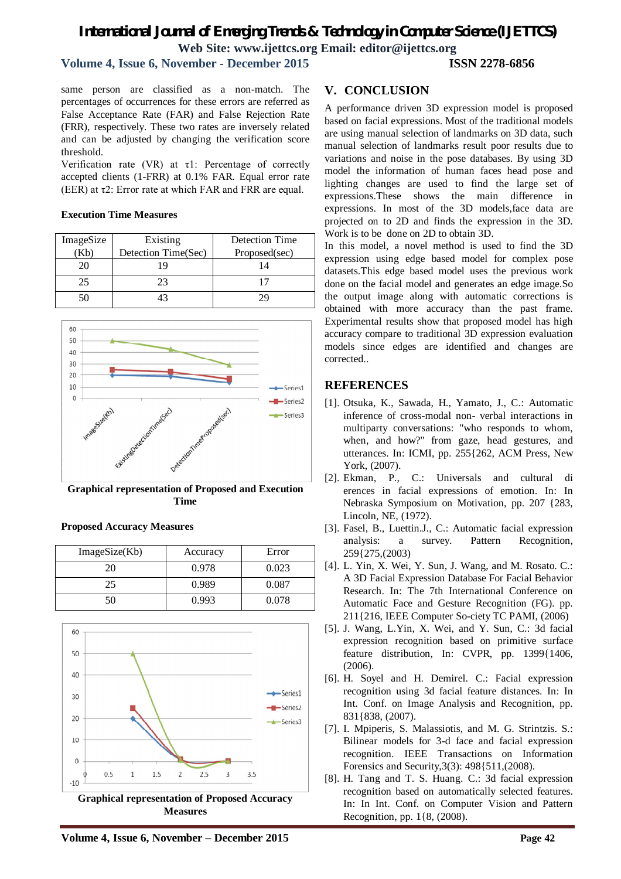# *International Journal of Emerging Trends & Technology in Computer Science (IJETTCS)* **Web Site: www.ijettcs.org Email: editor@ijettcs.org**

#### **Volume 4, Issue 6, November - December 2015 ISSN 2278-6856**

same person are classified as a non-match. The percentages of occurrences for these errors are referred as False Acceptance Rate (FAR) and False Rejection Rate (FRR), respectively. These two rates are inversely related and can be adjusted by changing the verification score threshold.

Verification rate (VR) at  $\tau$ 1: Percentage of correctly accepted clients (1-FRR) at 0.1% FAR. Equal error rate (EER) at  $\tau$ 2: Error rate at which FAR and FRR are equal.

#### **Execution Time Measures**

| ImageSize | Existing            | Detection Time |
|-----------|---------------------|----------------|
|           | Detection Time(Sec) | Proposed(sec)  |
| 20        |                     | 14             |
| 25        | フマ                  |                |
| 50        |                     | 79             |



**Graphical representation of Proposed and Execution Time**

50 0.993 0.078

| ImageSize(Kb) | Accuracy | Error |
|---------------|----------|-------|
| 20            | 0.978    | 0.023 |
|               | 0.989    | 0.087 |

#### **Proposed Accuracy Measures**



**Graphical representation of Proposed Accuracy Measures**

# **V. CONCLUSION**

A performance driven 3D expression model is proposed based on facial expressions. Most of the traditional models are using manual selection of landmarks on 3D data, such manual selection of landmarks result poor results due to variations and noise in the pose databases. By using 3D model the information of human faces head pose and lighting changes are used to find the large set of expressions.These shows the main difference in expressions. In most of the 3D models,face data are projected on to 2D and finds the expression in the 3D. Work is to be done on 2D to obtain 3D.

In this model, a novel method is used to find the 3D expression using edge based model for complex pose datasets.This edge based model uses the previous work done on the facial model and generates an edge image.So the output image along with automatic corrections is obtained with more accuracy than the past frame. Experimental results show that proposed model has high accuracy compare to traditional 3D expression evaluation models since edges are identified and changes are corrected..

#### **REFERENCES**

- [1]. Otsuka, K., Sawada, H., Yamato, J., C.: Automatic inference of cross-modal non- verbal interactions in multiparty conversations: "who responds to whom, when, and how?" from gaze, head gestures, and utterances. In: ICMI, pp. 255{262, ACM Press, New York, (2007).
- [2]. Ekman, P., C.: Universals and cultural di erences in facial expressions of emotion. In: In Nebraska Symposium on Motivation, pp. 207 {283, Lincoln, NE, (1972).
- [3]. Fasel, B., Luettin.J., C.: Automatic facial expression analysis: a survey. Pattern Recognition, 259{275,(2003)
- [4]. L. Yin, X. Wei, Y. Sun, J. Wang, and M. Rosato. C.: A 3D Facial Expression Database For Facial Behavior Research. In: The 7th International Conference on Automatic Face and Gesture Recognition (FG). pp. 211{216, IEEE Computer So-ciety TC PAMI, (2006)
- [5]. J. Wang, L.Yin, X. Wei, and Y. Sun, C.: 3d facial expression recognition based on primitive surface feature distribution, In: CVPR, pp. 1399{1406, (2006).
- [6]. H. Soyel and H. Demirel. C.: Facial expression recognition using 3d facial feature distances. In: In Int. Conf. on Image Analysis and Recognition, pp. 831{838, (2007).
- [7]. I. Mpiperis, S. Malassiotis, and M. G. Strintzis. S.: Bilinear models for 3-d face and facial expression recognition. IEEE Transactions on Information Forensics and Security,3(3): 498{511,(2008).
- [8]. H. Tang and T. S. Huang. C.: 3d facial expression recognition based on automatically selected features. In: In Int. Conf. on Computer Vision and Pattern Recognition, pp. 1{8, (2008).

**Volume 4, Issue 6, November – December 2015 Page 42**